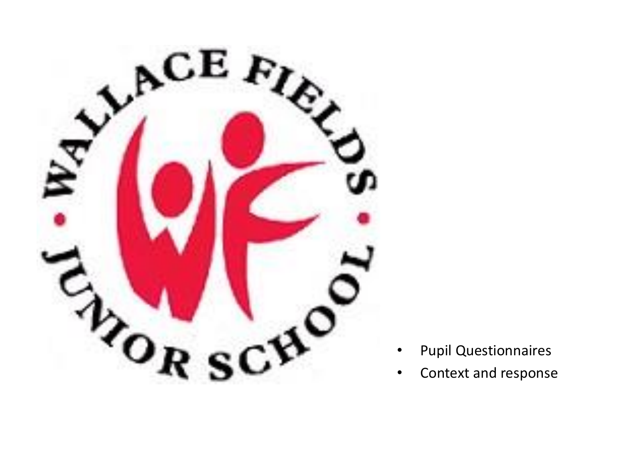

- Pupil Questionnaires
- Context and response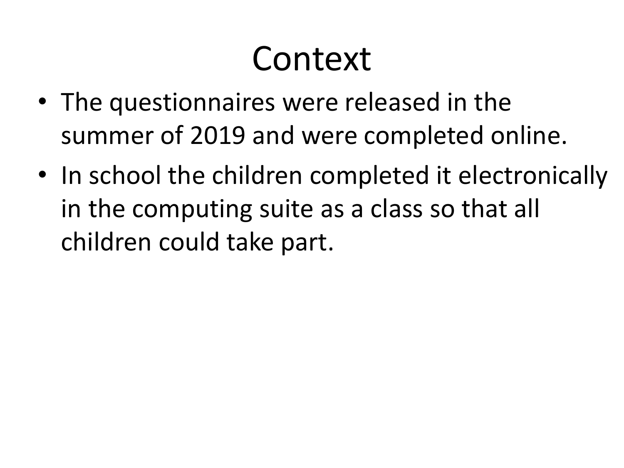## Context

- The questionnaires were released in the summer of 2019 and were completed online.
- In school the children completed it electronically in the computing suite as a class so that all children could take part.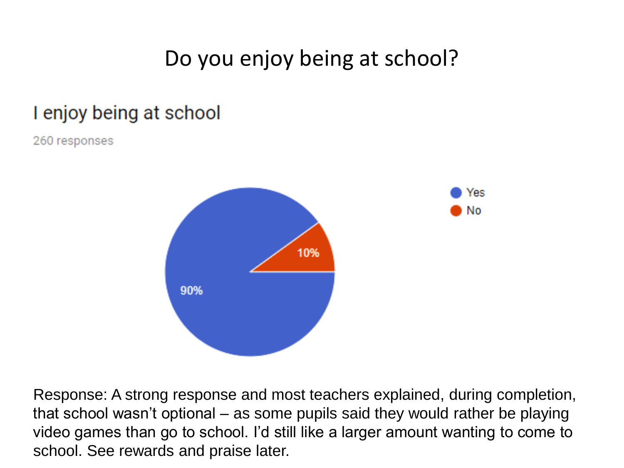### Do you enjoy being at school?

#### I enjoy being at school

260 responses



Response: A strong response and most teachers explained, during completion, that school wasn't optional – as some pupils said they would rather be playing video games than go to school. I'd still like a larger amount wanting to come to school. See rewards and praise later.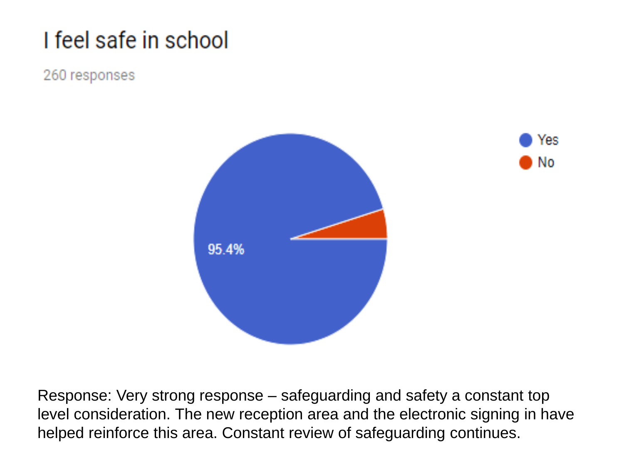## I feel safe in school

#### 260 responses





Response: Very strong response – safeguarding and safety a constant top level consideration. The new reception area and the electronic signing in have helped reinforce this area. Constant review of safeguarding continues.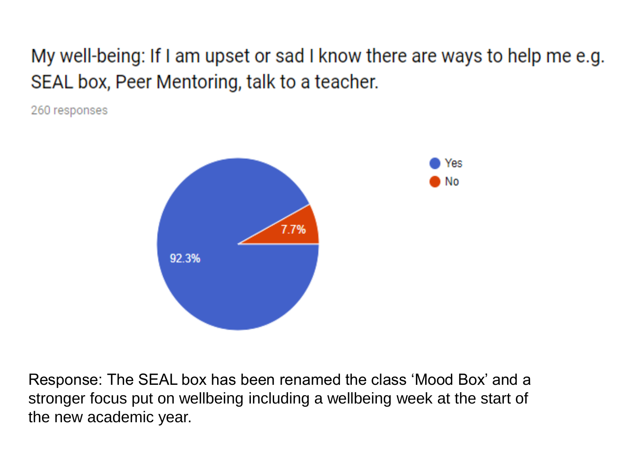#### My well-being: If I am upset or sad I know there are ways to help me e.g. SEAL box, Peer Mentoring, talk to a teacher.

260 responses



Response: The SEAL box has been renamed the class 'Mood Box' and a stronger focus put on wellbeing including a wellbeing week at the start of the new academic year.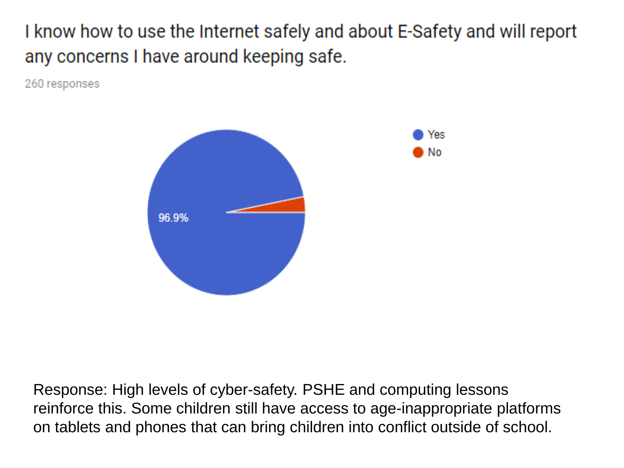I know how to use the Internet safely and about E-Safety and will report any concerns I have around keeping safe.

Yes

No

260 responses



Response: High levels of cyber-safety. PSHE and computing lessons reinforce this. Some children still have access to age-inappropriate platforms on tablets and phones that can bring children into conflict outside of school.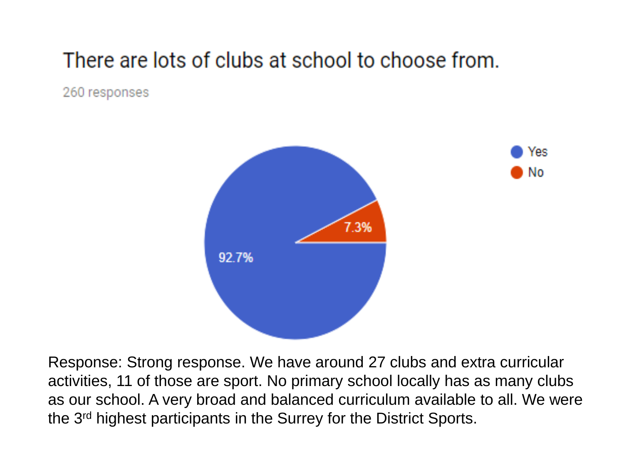### There are lots of clubs at school to choose from.

260 responses



Response: Strong response. We have around 27 clubs and extra curricular activities, 11 of those are sport. No primary school locally has as many clubs as our school. A very broad and balanced curriculum available to all. We were the 3rd highest participants in the Surrey for the District Sports.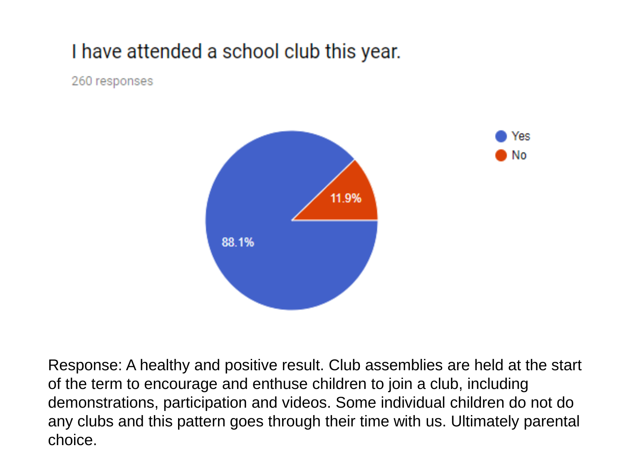#### I have attended a school club this year.

260 responses



Response: A healthy and positive result. Club assemblies are held at the start of the term to encourage and enthuse children to join a club, including demonstrations, participation and videos. Some individual children do not do any clubs and this pattern goes through their time with us. Ultimately parental choice.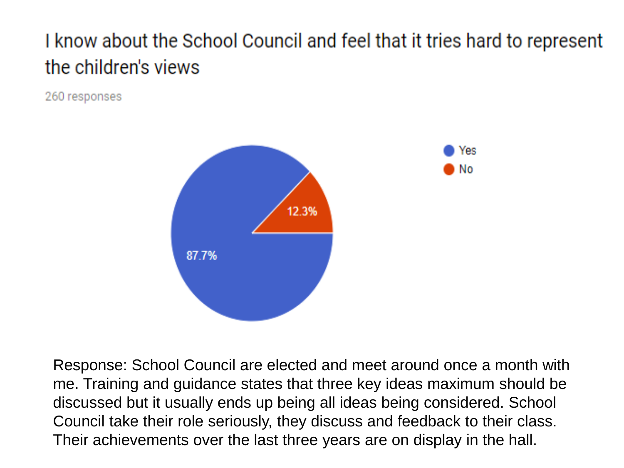### I know about the School Council and feel that it tries hard to represent the children's views

260 responses



Response: School Council are elected and meet around once a month with me. Training and guidance states that three key ideas maximum should be discussed but it usually ends up being all ideas being considered. School Council take their role seriously, they discuss and feedback to their class. Their achievements over the last three years are on display in the hall.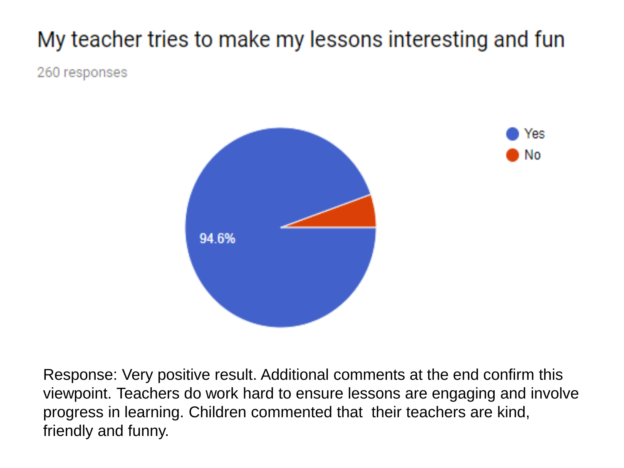## My teacher tries to make my lessons interesting and fun

260 responses



Response: Very positive result. Additional comments at the end confirm this viewpoint. Teachers do work hard to ensure lessons are engaging and involve progress in learning. Children commented that their teachers are kind, friendly and funny.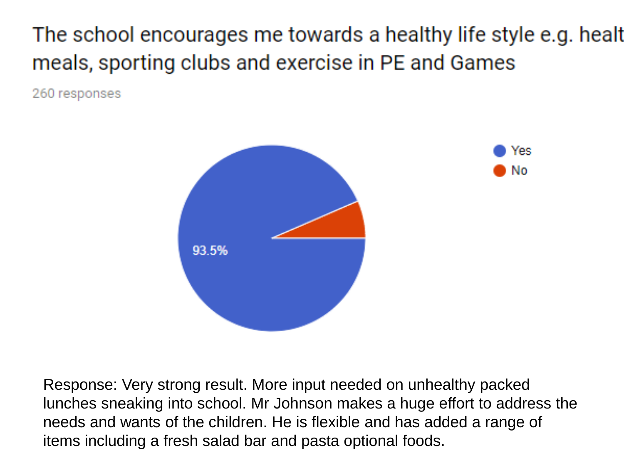The school encourages me towards a healthy life style e.g. healt meals, sporting clubs and exercise in PE and Games

260 responses



Response: Very strong result. More input needed on unhealthy packed lunches sneaking into school. Mr Johnson makes a huge effort to address the needs and wants of the children. He is flexible and has added a range of items including a fresh salad bar and pasta optional foods.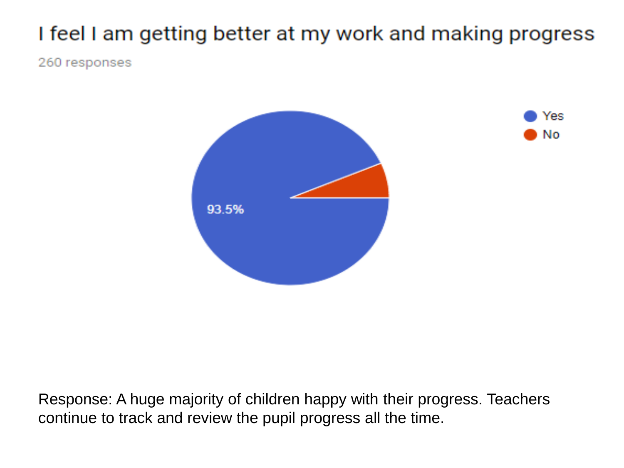## I feel I am getting better at my work and making progress

260 responses





Response: A huge majority of children happy with their progress. Teachers continue to track and review the pupil progress all the time.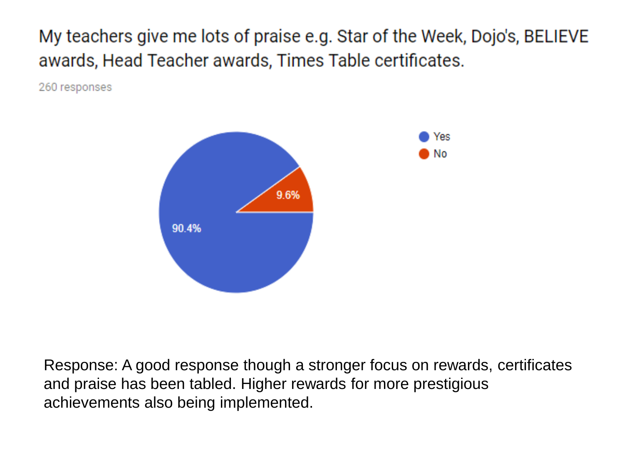My teachers give me lots of praise e.g. Star of the Week, Dojo's, BELIEVE awards, Head Teacher awards, Times Table certificates.

260 responses



Response: A good response though a stronger focus on rewards, certificates and praise has been tabled. Higher rewards for more prestigious achievements also being implemented.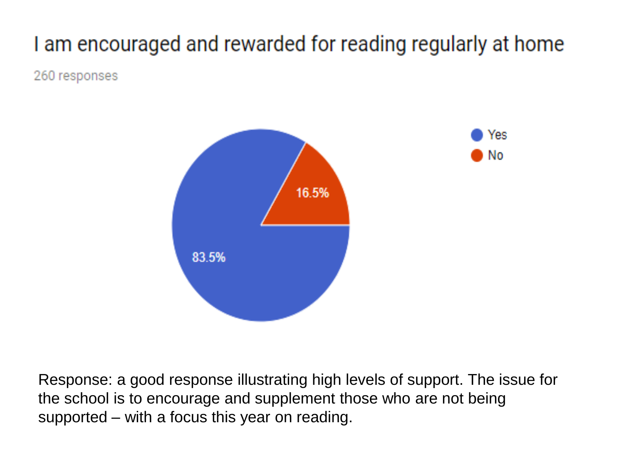### I am encouraged and rewarded for reading regularly at home

260 responses



Response: a good response illustrating high levels of support. The issue for the school is to encourage and supplement those who are not being supported – with a focus this year on reading.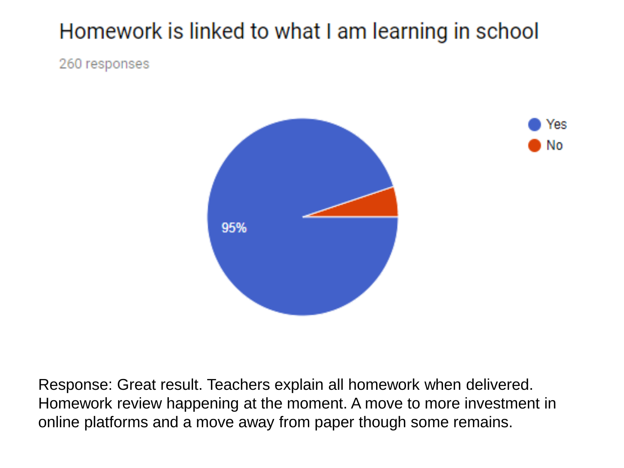### Homework is linked to what I am learning in school

260 responses



Yes

No.

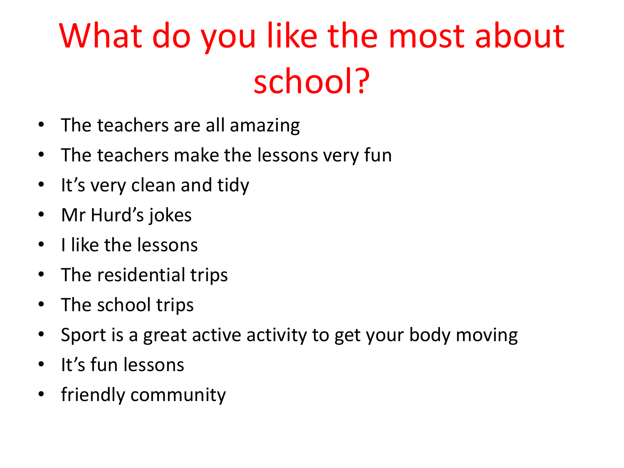# What do you like the most about school?

- The teachers are all amazing
- The teachers make the lessons very fun
- It's very clean and tidy
- Mr Hurd's jokes
- I like the lessons
- The residential trips
- The school trips
- Sport is a great active activity to get your body moving
- It's fun lessons
- friendly community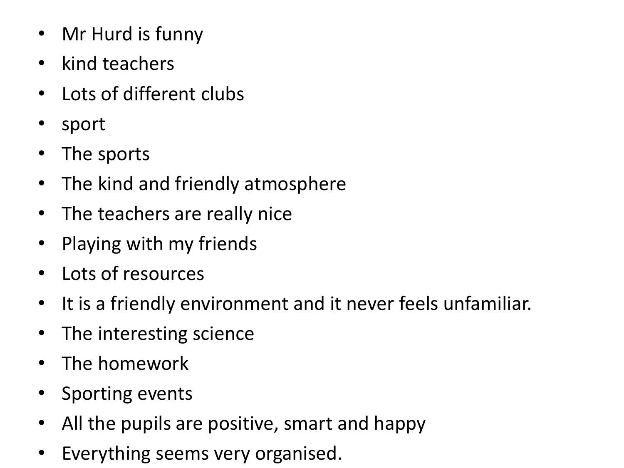- Mr Hurd is funny
- kind teachers
- Lots of different clubs
- sport
- The sports
- The kind and friendly atmosphere
- The teachers are really nice
- Playing with my friends
- Lots of resources
- It is a friendly environment and it never feels unfamiliar.
- The interesting science
- The homework
- Sporting events
- All the pupils are positive, smart and happy
- Everything seems very organised.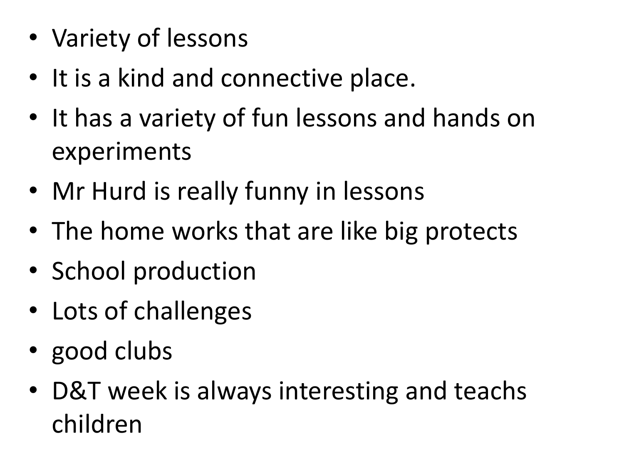- Variety of lessons
- It is a kind and connective place.
- It has a variety of fun lessons and hands on experiments
- Mr Hurd is really funny in lessons
- The home works that are like big protects
- School production
- Lots of challenges
- good clubs
- D&T week is always interesting and teachs children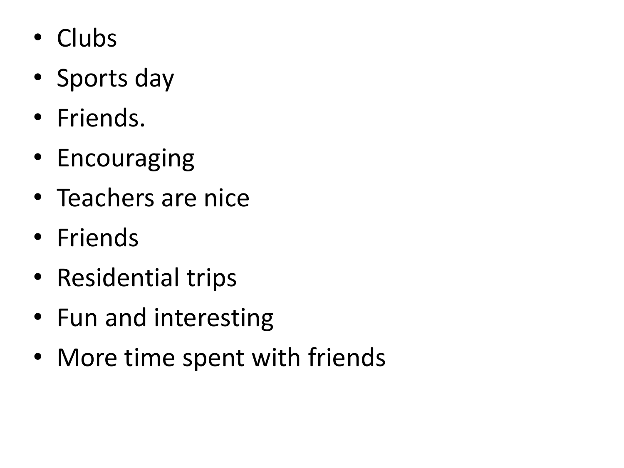- Clubs
- Sports day
- Friends.
- Encouraging
- Teachers are nice
- Friends
- Residential trips
- Fun and interesting
- More time spent with friends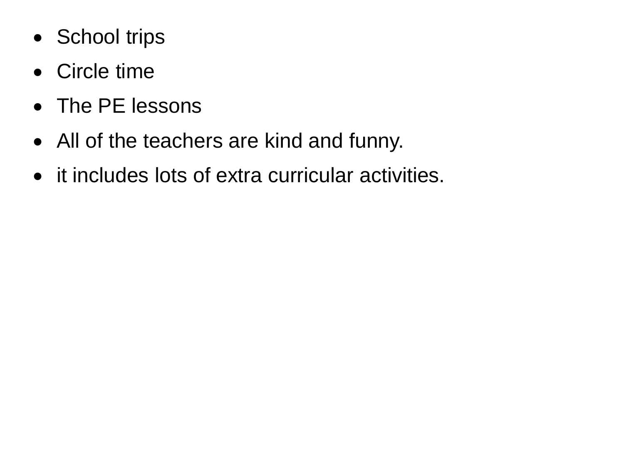- School trips
- Circle time
- The PE lessons
- All of the teachers are kind and funny.
- it includes lots of extra curricular activities.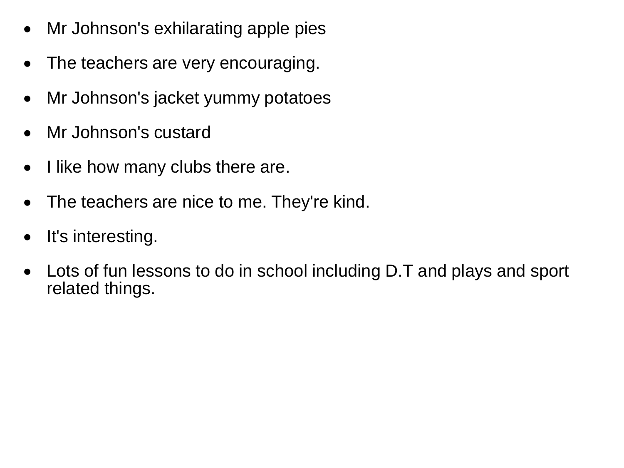- Mr Johnson's exhilarating apple pies
- The teachers are very encouraging.
- Mr Johnson's jacket yummy potatoes
- Mr Johnson's custard
- I like how many clubs there are.
- The teachers are nice to me. They're kind.
- It's interesting.
- Lots of fun lessons to do in school including D.T and plays and sport related things.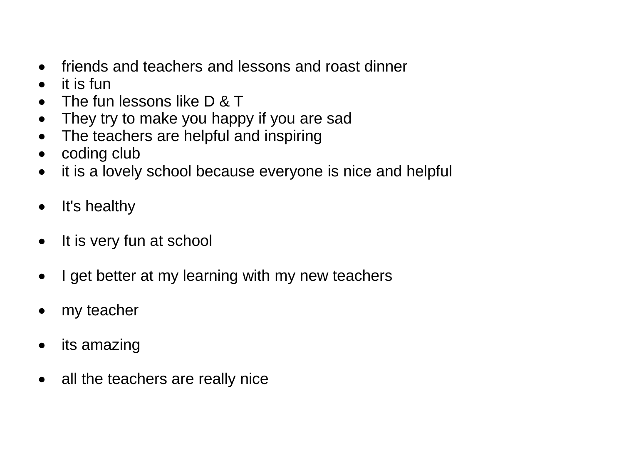- friends and teachers and lessons and roast dinner
- it is fun
- The fun lessons like D & T
- They try to make you happy if you are sad
- The teachers are helpful and inspiring
- coding club
- it is a lovely school because everyone is nice and helpful
- It's healthy
- It is very fun at school
- I get better at my learning with my new teachers
- my teacher
- its amazing
- all the teachers are really nice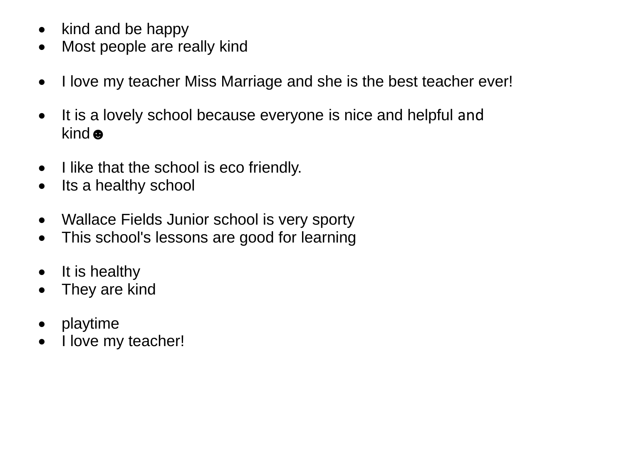- $\bullet$  kind and be happy
- Most people are really kind
- I love my teacher Miss Marriage and she is the best teacher ever!
- It is a lovely school because everyone is nice and helpful and kind  $\bullet$
- I like that the school is eco friendly.
- Its a healthy school
- Wallace Fields Junior school is very sporty
- This school's lessons are good for learning
- It is healthy
- They are kind
- playtime
- I love my teacher!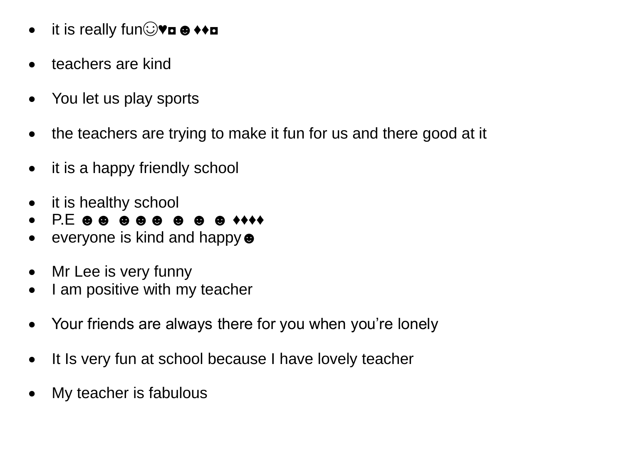- it is really fun**vo**  $\bullet\bullet\bullet$
- teachers are kind
- You let us play sports
- the teachers are trying to make it fun for us and there good at it
- it is a happy friendly school
- it is healthy school
- P.E ☻☻ ☻☻☻ ☻ ☻ ☻ ♦♦♦♦
- everyone is kind and happy ●
- Mr Lee is very funny
- I am positive with my teacher
- Your friends are always there for you when you're lonely
- It Is very fun at school because I have lovely teacher
- My teacher is fabulous